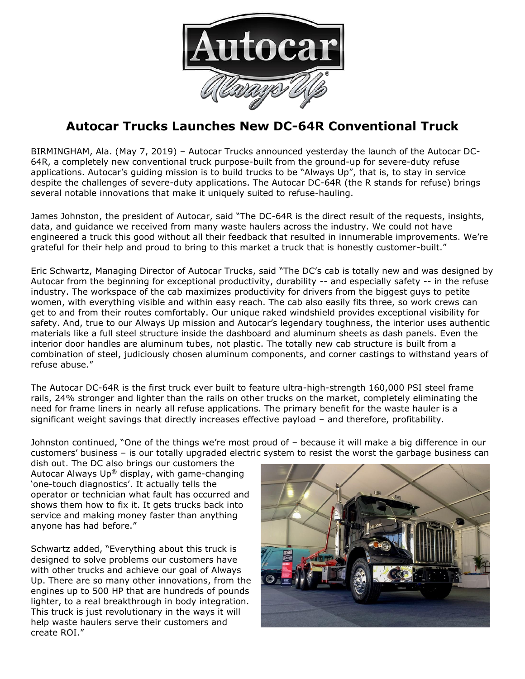

## **Autocar Trucks Launches New DC-64R Conventional Truck**

BIRMINGHAM, Ala. (May 7, 2019) – Autocar Trucks announced yesterday the launch of the Autocar DC-64R, a completely new conventional truck purpose-built from the ground-up for severe-duty refuse applications. Autocar's guiding mission is to build trucks to be "Always Up", that is, to stay in service despite the challenges of severe-duty applications. The Autocar DC-64R (the R stands for refuse) brings several notable innovations that make it uniquely suited to refuse-hauling.

James Johnston, the president of Autocar, said "The DC-64R is the direct result of the requests, insights, data, and guidance we received from many waste haulers across the industry. We could not have engineered a truck this good without all their feedback that resulted in innumerable improvements. We're grateful for their help and proud to bring to this market a truck that is honestly customer-built."

Eric Schwartz, Managing Director of Autocar Trucks, said "The DC's cab is totally new and was designed by Autocar from the beginning for exceptional productivity, durability -- and especially safety -- in the refuse industry. The workspace of the cab maximizes productivity for drivers from the biggest guys to petite women, with everything visible and within easy reach. The cab also easily fits three, so work crews can get to and from their routes comfortably. Our unique raked windshield provides exceptional visibility for safety. And, true to our Always Up mission and Autocar's legendary toughness, the interior uses authentic materials like a full steel structure inside the dashboard and aluminum sheets as dash panels. Even the interior door handles are aluminum tubes, not plastic. The totally new cab structure is built from a combination of steel, judiciously chosen aluminum components, and corner castings to withstand years of refuse abuse."

The Autocar DC-64R is the first truck ever built to feature ultra-high-strength 160,000 PSI steel frame rails, 24% stronger and lighter than the rails on other trucks on the market, completely eliminating the need for frame liners in nearly all refuse applications. The primary benefit for the waste hauler is a significant weight savings that directly increases effective payload – and therefore, profitability.

Johnston continued, "One of the things we're most proud of – because it will make a big difference in our customers' business – is our totally upgraded electric system to resist the worst the garbage business can

dish out. The DC also brings our customers the Autocar Always Up® display, with game-changing 'one-touch diagnostics'. It actually tells the operator or technician what fault has occurred and shows them how to fix it. It gets trucks back into service and making money faster than anything anyone has had before."

Schwartz added, "Everything about this truck is designed to solve problems our customers have with other trucks and achieve our goal of Always Up. There are so many other innovations, from the engines up to 500 HP that are hundreds of pounds lighter, to a real breakthrough in body integration. This truck is just revolutionary in the ways it will help waste haulers serve their customers and create ROI."